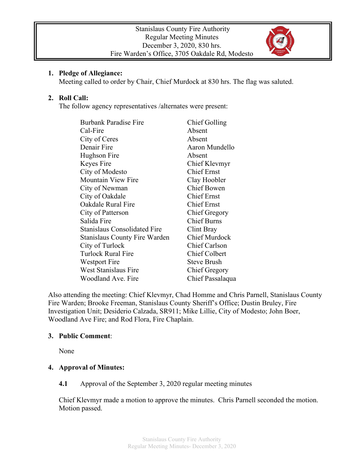

#### **1. Pledge of Allegiance:**

Meeting called to order by Chair, Chief Murdock at 830 hrs. The flag was saluted.

### **2. Roll Call:**

The follow agency representatives /alternates were present:

| <b>Burbank Paradise Fire</b>         | Chief Golling        |
|--------------------------------------|----------------------|
| Cal-Fire                             | Absent               |
| City of Ceres                        | Absent               |
| Denair Fire                          | Aaron Mundello       |
| Hughson Fire                         | Absent               |
| Keyes Fire                           | Chief Klevmyr        |
| City of Modesto                      | <b>Chief Ernst</b>   |
| <b>Mountain View Fire</b>            | Clay Hoobler         |
| City of Newman                       | <b>Chief Bowen</b>   |
| City of Oakdale                      | Chief Ernst          |
| Oakdale Rural Fire                   | <b>Chief Ernst</b>   |
| City of Patterson                    | <b>Chief Gregory</b> |
| Salida Fire                          | <b>Chief Burns</b>   |
| <b>Stanislaus Consolidated Fire</b>  | Clint Bray           |
| <b>Stanislaus County Fire Warden</b> | <b>Chief Murdock</b> |
| City of Turlock                      | <b>Chief Carlson</b> |
| <b>Turlock Rural Fire</b>            | <b>Chief Colbert</b> |
| Westport Fire                        | <b>Steve Brush</b>   |
| <b>West Stanislaus Fire</b>          | Chief Gregory        |
| Woodland Ave. Fire                   | Chief Passalaqua     |

Also attending the meeting: Chief Klevmyr, Chad Homme and Chris Parnell, Stanislaus County Fire Warden; Brooke Freeman, Stanislaus County Sheriff's Office; Dustin Bruley, Fire Investigation Unit; Desiderio Calzada, SR911; Mike Lillie, City of Modesto; John Boer, Woodland Ave Fire; and Rod Flora, Fire Chaplain.

### **3. Public Comment**:

None

### **4. Approval of Minutes:**

### **4.1** Approval of the September 3, 2020 regular meeting minutes

Chief Klevmyr made a motion to approve the minutes. Chris Parnell seconded the motion. Motion passed.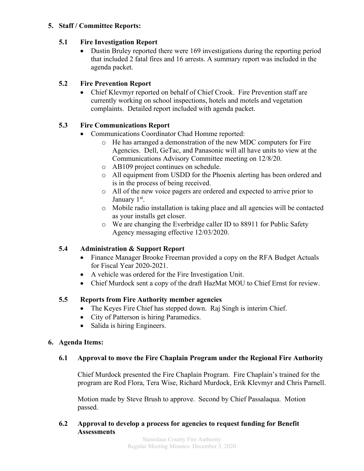### **5. Staff / Committee Reports:**

### **5.1 Fire Investigation Report**

• Dustin Bruley reported there were 169 investigations during the reporting period that included 2 fatal fires and 16 arrests. A summary report was included in the agenda packet.

# **5.2 Fire Prevention Report**

• Chief Klevmyr reported on behalf of Chief Crook. Fire Prevention staff are currently working on school inspections, hotels and motels and vegetation complaints. Detailed report included with agenda packet.

## **5.3 Fire Communications Report**

- Communications Coordinator Chad Homme reported:
	- o He has arranged a demonstration of the new MDC computers for Fire Agencies. Dell, GeTac, and Panasonic will all have units to view at the Communications Advisory Committee meeting on 12/8/20.
	- o AB109 project continues on schedule.
	- o All equipment from USDD for the Phoenix alerting has been ordered and is in the process of being received.
	- o All of the new voice pagers are ordered and expected to arrive prior to January 1<sup>st</sup>.
	- o Mobile radio installation is taking place and all agencies will be contacted as your installs get closer.
	- o We are changing the Everbridge caller ID to 88911 for Public Safety Agency messaging effective 12/03/2020.

# **5.4 Administration & Support Report**

- Finance Manager Brooke Freeman provided a copy on the RFA Budget Actuals for Fiscal Year 2020-2021.
- A vehicle was ordered for the Fire Investigation Unit.
- Chief Murdock sent a copy of the draft HazMat MOU to Chief Ernst for review.

# **5.5 Reports from Fire Authority member agencies**

- The Keyes Fire Chief has stepped down. Raj Singh is interim Chief.
- City of Patterson is hiring Paramedics.
- Salida is hiring Engineers.

### **6. Agenda Items:**

### **6.1 Approval to move the Fire Chaplain Program under the Regional Fire Authority**

Chief Murdock presented the Fire Chaplain Program. Fire Chaplain's trained for the program are Rod Flora, Tera Wise, Richard Murdock, Erik Klevmyr and Chris Parnell.

Motion made by Steve Brush to approve. Second by Chief Passalaqua. Motion passed.

#### **6.2 Approval to develop a process for agencies to request funding for Benefit Assessments**